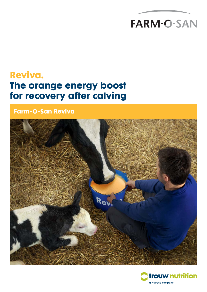# **FARM-O-SAN**

## **Reviva. The orange energy boost for recovery after calving**

**Farm-O-San Reviva**



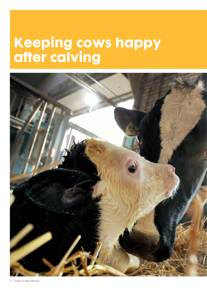# **Keeping cows happy after calving**

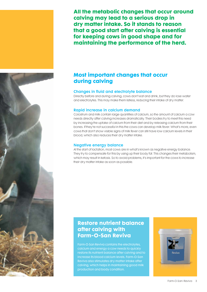**All the metabolic changes that occur around calving may lead to a serious drop in dry matter intake. So it stands to reason that a good start after calving is essential for keeping cows in good shape and for maintaining the performance of the herd.**

### **Most important changes that occur during calving**

#### Changes in fluid and electrolyte balance

Directly before and during calving, cows don't eat and drink, but they do lose water and electrolytes. This may make them listless, reducing their intake of dry matter.

#### Rapid increase in calcium demand

Colostrum and milk contain large quantities of calcium, so the amount of calcium a cow needs directly after calving increases dramatically. Their bodies try to meet this need by increasing the uptake of calcium from their diet and by releasing calcium from their bones. If they're not successful in this the cows can develop milk fever. What's more, even cows that don't show visible signs of milk fever can still have low calcium levels in their blood, which also reduces their dry matter intake.

#### Negative energy balance

At the start of lactation, most cows are in what's known as negative energy balance. They try to compensate for this by using up their body fat. This changes their metabolism, which may result in ketosis. So to avoid problems, it's important for the cows to increase their dry matter intake as soon as possible.

### **Restore nutrient balance after calving with Farm-O-San Reviva**

Farm-O-San Reviva contains the electrolytes, calcium and energy a cow needs to quickly restore its nutrient balance after calving and to increase its blood calcium levels. Farm-O-San Reviva also stimulates dry matter intake after calving, which helps in maintaining good milk production and body condition.



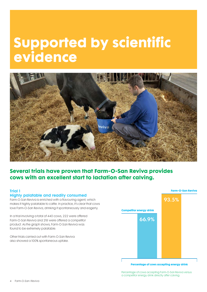# **Supported by scientific evidence**



### **Several trials have proven that Farm-O-San Reviva provides cows with an excellent start to lactation after calving.**

#### Trial 1 Highly palatable and readily consumed

Farm-O-San Reviva is enriched with a flavouring agent, which makes it highly palatable to cattle. In practice, it's clear that cows love Farm-O-San Reviva, drinking it spontaneously and eagerly.

In a trial involving a total of 440 cows, 222 were offered Farm-O-San Reviva and 218 were offered a competitor product. As the graph shows, Farm-O-San Reviva was found to be extremely palatable.

Other trials carried out with Farm-O-San Reviva also showed a 100% spontaneous uptake.



**Percentage of cows accepting energy drink**

Percentage of cows accepting Farm-O-San Reviva versus a competitor energy drink directly after calving.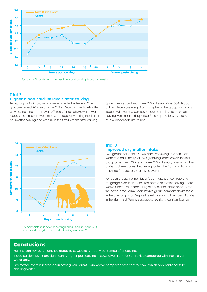

Evolution of blood calcium immediately post-calving through to week 4.

#### Trial 2 Higher blood calcium levels after calving

Two groups of 22 cows each were included in the trial. One group received 20 litres of Farm-O-San Reviva immediately after calving, the other group was offered 20 litres of lukewarm water. Blood calcium levels were measured regularly during the first 24 hours after calving and weekly in the first 4 weeks after calving.

Spontaneous uptake of Farm-O-San Reviva was 100%. Blood calcium levels were significantly higher in the group of animals treated with Farm-O-San Reviva during the first 48 hours after calving, which is the risk period for complications as a result of low blood calcium values.



#### Trial 3 Improved dry matter intake

Two groups of Holstein cows, each consisting of 20 animals, were studied. Directly following calving, each cow in the test group was given 20 litres of Farm-O-San Reviva, after which the cows had free access to drinking water. The 20 control animals only had free access to drinking water.

For each group, the individual feed intake (concentrate and roughage) was then measured before and after calving. There was an increase of about 1 kg of dry matter intake per day for the cows in the Farm-O-San Reviva group compared with those in the control group. Despite the relatively small number of cows in the trial, this difference approached statistical significance.

Dry matter intake in cows receiving Farm-O-San Reviva (n=20) or controls having free access to drinking water (n=20).

### **Conclusions**

Farm-O-San Reviva is highly palatable to cows and is readily consumed after calving.

Blood calcium levels are significantly higher post-calving in cows given Farm-O-San Reviva compared with those given water only.

Dry matter intake is increased in cows given Farm-O-San Reviva compared with control cows which only had access to drinking water.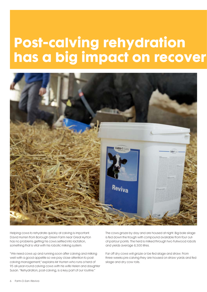# **Post-calving rehydration has a big impact on recover**



Helping cows to rehydrate quickly at calving is important. David Hurren from Borough Green Farm near Great Ayrton has no problems getting his cows settled into lactation, something that is vital with his robotic milking system.

"We need cows up and running soon after calving and milking well with a good appetite so we pay close attention to postcalving management," explains Mr Hurren who runs a herd of 95 all-year-round calving cows with his wife Helen and daughter Susan. "Rehydration, post-calving, is a key part of our routine."

The cows graze by day and are housed at night. Big bale silage is fed down the trough with compound available from four outof-parlour points. The herd is milked through two Fullwood robots and yields average 8,500 litres.

Far off dry cows will graze or be fed silage and straw. From three weeks pre-calving they are housed on straw yards and fed silage and dry cow rolls.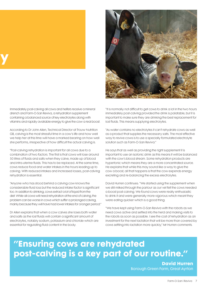

**y**

Immediately post-calving all cows and heifers receive a mineral drench and Farm-O-San Reviva, a rehydration supplement containing a balanced source of key electrolytes along with vitamins and rapidly available energy to give the cow a real boost.

According to Dr John Allen, Technical Director at Trouw Nutrition GB, calving is the most stressful time in a cow's life and how well we help her at this time will have a marked bearing on how well she performs, irrespective of how difficult the actual calving is.

"Post-calving rehydration is important for all cows due to a combination of two factors. The first is that cows will lose around 50 litres of fluids and salts when they calve, made up of blood and intra-uterine fluids. This has to be replaced. At the same time, cows reduce food and water intakes in the hours leading up to calving. With reduced intakes and increased losses, post-calving rehydration is essential.

"Anyone who has stood behind a calving cow knows the considerable fluid loss but the reduced intake factor is significant too. In addition to drinking, cows extract a lot of liquid from the diet. While all cows will need rehydration at the end of calving, the problem can be worse in cows which suffer a prolonged calving, mainly because they will have had lower intakes for a longer period."

Dr Allen explains that when a cow calves she loses both water and salts as the lost fluids will contain a significant amount of electrolytes, notably sodium, potassium and chloride which are essential for regulating fluid content in the body.

"It is normally not difficult to get cows to drink a lot in the two hours immediately post-calving provided the drink is palatable, but it is important to make sure they are drinking the best replacement for lost fluids. This means supplying electrolytes.

"As water contains no electrolytes it can't rehydrate cows as well as a product that supplies the necessary salts. The most effective way to revive cows is to use a specially formulated electrolyte solution such as Farm-O-San Reviva."

He says that as well as providing the right supplement it is important to use an isotonic drink as this means it will be balanced with the cow's blood stream. Some rehydration products are hypertonic which means they are a more concentrated source. He explains that while this may sound like a way to give the cow a boost, all that happens is that the cow expends energy excreting and re-balancing the excess electrolytes.

David Hurren continues: "We started using the supplement when we still milked through the parlour as our vet felt the cows needed a boost post-calving. We found cows were really enthusiastic to drink it and were generally more vigorous which meant they were eating quicker which is a good thing.

"We have kept using Farm-O-San Reviva with the robots as we need cows active and settled into the herd and making visits to the robots as soon as possible. I see the cost of rehydration as an investment for the next lactation that will be more than covered by cows settling into lactation more quickly," Mr Hurren comments.

### **"Ensuring cows are rehydrated post-calving is a key part of our routine."**

**David Hurren** Borough Green Farm, Great Ayrton